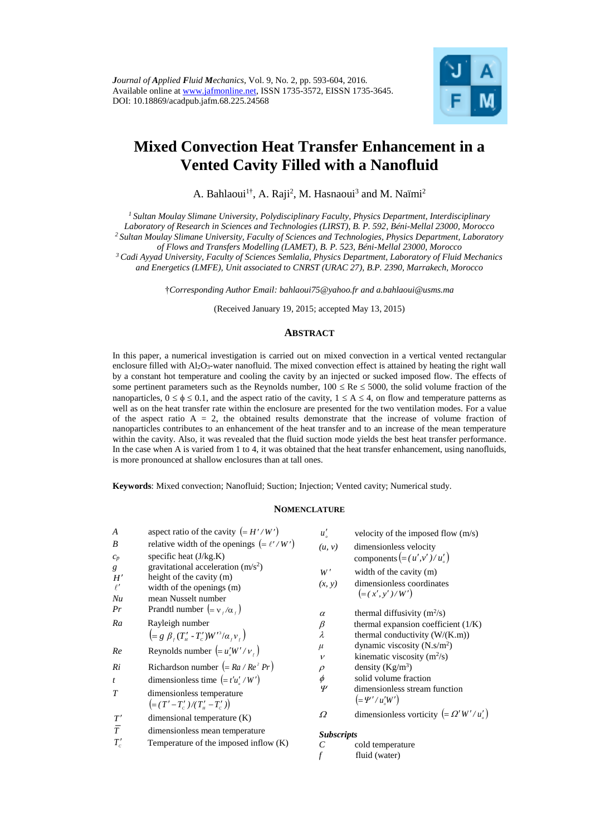

# **Mixed Convection Heat Transfer Enhancement in a Vented Cavity Filled with a Nanofluid**

A. Bahlaoui<sup>1†</sup>, A. Raji<sup>2</sup>, M. Hasnaoui<sup>3</sup> and M. Naïmi<sup>2</sup>

*<sup>1</sup>Sultan Moulay Slimane University, Polydisciplinary Faculty, Physics Department, Interdisciplinary Laboratory of Research in Sciences and Technologies (LIRST), B. P. 592, Béni-Mellal 23000, Morocco <sup>2</sup> Sultan Moulay Slimane University, Faculty of Sciences and Technologies, Physics Department, Laboratory of Flows and Transfers Modelling (LAMET), B. P. 523, Béni-Mellal 23000, Morocco <sup>3</sup>Cadi Ayyad University, Faculty of Sciences Semlalia, Physics Department, Laboratory of Fluid Mechanics and Energetics (LMFE), Unit associated to CNRST (URAC 27), B.P. 2390, Marrakech, Morocco*

†*Corresponding Author Email: bahlaoui75@yahoo.fr and [a.bahlaoui@usms.ma](mailto:a.bahlaoui@usms.ma)*

(Received January 19, 2015; accepted May 13, 2015)

# **ABSTRACT**

In this paper, a numerical investigation is carried out on mixed convection in a vertical vented rectangular enclosure filled with Al2O3-water nanofluid. The mixed convection effect is attained by heating the right wall by a constant hot temperature and cooling the cavity by an injected or sucked imposed flow. The effects of some pertinent parameters such as the Reynolds number,  $100 \leq Re \leq 5000$ , the solid volume fraction of the nanoparticles,  $0 \le \phi \le 0.1$ , and the aspect ratio of the cavity,  $1 \le A \le 4$ , on flow and temperature patterns as well as on the heat transfer rate within the enclosure are presented for the two ventilation modes. For a value of the aspect ratio  $A = 2$ , the obtained results demonstrate that the increase of volume fraction of nanoparticles contributes to an enhancement of the heat transfer and to an increase of the mean temperature within the cavity. Also, it was revealed that the fluid suction mode yields the best heat transfer performance. In the case when A is varied from 1 to 4, it was obtained that the heat transfer enhancement, using nanofluids, is more pronounced at shallow enclosures than at tall ones.

**Keywords**: Mixed convection; Nanofluid; Suction; Injection; Vented cavity; Numerical study.

## **NOMENCLATURE**

| $\boldsymbol{A}$<br>B<br>$c_p$ | aspect ratio of the cavity $(=H'/W')$<br>relative width of the openings (= $\ell'/W'$ )<br>specific heat $(J/kg.K)$ | u'<br>(u, v)           | velocity of the imposed flow $(m/s)$<br>dimensionless velocity<br>components $(=(u',v')/u')$ |
|--------------------------------|---------------------------------------------------------------------------------------------------------------------|------------------------|----------------------------------------------------------------------------------------------|
| g<br>H'<br>$\ell'$<br>Nu       | gravitational acceleration $(m/s2)$<br>height of the cavity (m)<br>width of the openings (m)<br>mean Nusselt number | W'<br>(x, y)           | width of the cavity (m)<br>dimensionless coordinates<br>$(=(x', y')/W')$                     |
| Pr<br>Ra                       | Prandtl number $(= v_{\ell}/\alpha_{\ell})$<br>Rayleigh number                                                      | $\alpha$<br>$\beta$    | thermal diffusivity $(m^2/s)$<br>thermal expansion coefficient (1/K)                         |
|                                | $\left(=g \beta_c (T'_\mu - T'_c) W'^3/\alpha_c v_c\right)$                                                         | $\lambda$              | thermal conductivity $(W/(K.m))$                                                             |
| Re                             | Reynolds number $\left(= u'_s W' / v_t \right)$                                                                     | $\mu$<br>$\mathcal{V}$ | dynamic viscosity $(N \cdot s/m^2)$<br>kinematic viscosity $(m^2/s)$                         |
| Ri                             | Richardson number $(=Ra/Re^2 Pr)$                                                                                   | $\rho$                 | density $(Kg/m^3)$                                                                           |
| $\boldsymbol{t}$               | dimensionless time $(= t'u'_{s'}/W')$                                                                               | $\phi$                 | solid volume fraction                                                                        |
| T                              | dimensionless temperature<br>$= (T'-T'_c)/(T'_r-T'_c)$                                                              | Ψ                      | dimensionless stream function<br>$(=\Psi'/u'_{\rm s}W')$                                     |
| T'                             | dimensional temperature $(K)$                                                                                       | $\Omega$               | dimensionless vorticity (= $\Omega' W'/u'_{s}$ )                                             |
| $\overline{T}$<br>$T_c'$       | dimensionless mean temperature<br>Temperature of the imposed inflow $(K)$                                           | <b>Subscripts</b><br>C | cold temperature<br>fluid (water)                                                            |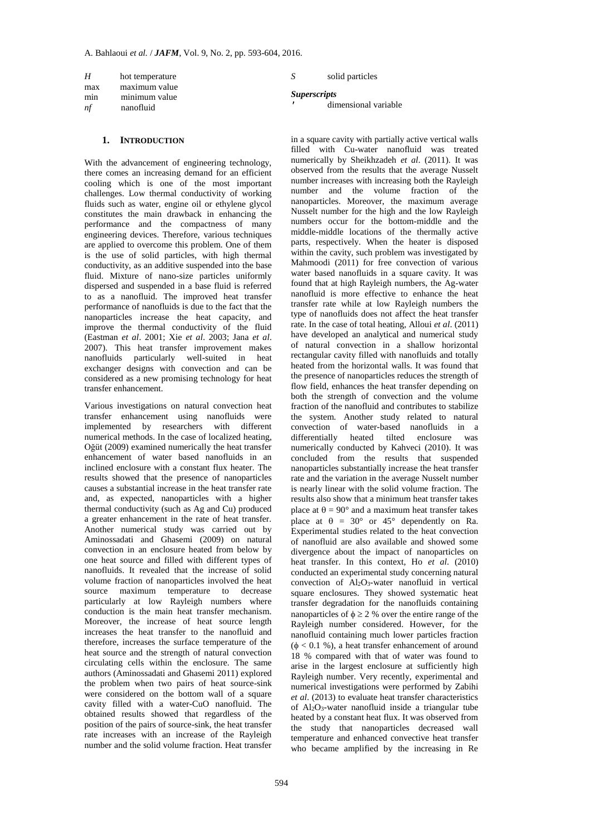| H         | hot temperature            | solid particles      |
|-----------|----------------------------|----------------------|
| max       | maximum value              | <i>Superscripts</i>  |
| min<br>nf | minimum value<br>nanofluid | dimensional variable |
|           |                            |                      |

# **1. INTRODUCTION**

With the advancement of engineering technology, there comes an increasing demand for an efficient cooling which is one of the most important challenges. Low thermal conductivity of working fluids such as water, engine oil or ethylene glycol constitutes the main drawback in enhancing the performance and the compactness of many engineering devices. Therefore, various techniques are applied to overcome this problem. One of them is the use of solid particles, with high thermal conductivity, as an additive suspended into the base fluid. Mixture of nano-size particles uniformly dispersed and suspended in a base fluid is referred to as a nanofluid. The improved heat transfer performance of nanofluids is due to the fact that the nanoparticles increase the heat capacity, and improve the thermal conductivity of the fluid (Eastman *et al*. 2001; Xie *et al*. 2003; Jana *et al*. 2007). This heat transfer improvement makes nanofluids particularly well-suited in heat exchanger designs with convection and can be considered as a new promising technology for heat transfer enhancement.

Various investigations on natural convection heat transfer enhancement using nanofluids were implemented by researchers with different numerical methods. In the case of localized heating, Oğüt (2009) examined numerically the heat transfer enhancement of water based nanofluids in an inclined enclosure with a constant flux heater. The results showed that the presence of nanoparticles causes a substantial increase in the heat transfer rate and, as expected, nanoparticles with a higher thermal conductivity (such as Ag and Cu) produced a greater enhancement in the rate of heat transfer. Another numerical study was carried out by Aminossadati and Ghasemi (2009) on natural convection in an enclosure heated from below by one heat source and filled with different types of nanofluids. It revealed that the increase of solid volume fraction of nanoparticles involved the heat source maximum temperature to decrease particularly at low Rayleigh numbers where conduction is the main heat transfer mechanism. Moreover, the increase of heat source length increases the heat transfer to the nanofluid and therefore, increases the surface temperature of the heat source and the strength of natural convection circulating cells within the enclosure. The same authors (Aminossadati and Ghasemi 2011) explored the problem when two pairs of heat source-sink were considered on the bottom wall of a square cavity filled with a water-CuO nanofluid. The obtained results showed that regardless of the position of the pairs of source-sink, the heat transfer rate increases with an increase of the Rayleigh number and the solid volume fraction. Heat transfer

in a square cavity with partially active vertical walls filled with Cu-water nanofluid was treated numerically by Sheikhzadeh *et al*. (2011). It was observed from the results that the average Nusselt number increases with increasing both the Rayleigh number and the volume fraction of the nanoparticles. Moreover, the maximum average Nusselt number for the high and the low Rayleigh numbers occur for the bottom-middle and the middle-middle locations of the thermally active parts, respectively. When the heater is disposed within the cavity, such problem was investigated by Mahmoodi (2011) for free convection of various water based nanofluids in a square cavity. It was found that at high Rayleigh numbers, the Ag-water nanofluid is more effective to enhance the heat transfer rate while at low Rayleigh numbers the type of nanofluids does not affect the heat transfer rate. In the case of total heating, Alloui *et al*. (2011) have developed an analytical and numerical study of natural convection in a shallow horizontal rectangular cavity filled with nanofluids and totally heated from the horizontal walls. It was found that the presence of nanoparticles reduces the strength of flow field, enhances the heat transfer depending on both the strength of convection and the volume fraction of the nanofluid and contributes to stabilize the system. Another study related to natural convection of water-based nanofluids in a differentially heated tilted enclosure was numerically conducted by Kahveci (2010). It was concluded from the results that suspended nanoparticles substantially increase the heat transfer rate and the variation in the average Nusselt number is nearly linear with the solid volume fraction. The results also show that a minimum heat transfer takes place at  $\theta = 90^{\circ}$  and a maximum heat transfer takes place at  $\theta = 30^{\circ}$  or  $45^{\circ}$  dependently on Ra. Experimental studies related to the heat convection of nanofluid are also available and showed some divergence about the impact of nanoparticles on heat transfer. In this context, Ho *et al*. (2010) conducted an experimental study concerning natural convection of  $Al_2O_3$ -water nanofluid in vertical square enclosures. They showed systematic heat transfer degradation for the nanofluids containing nanoparticles of  $\phi \ge 2$  % over the entire range of the Rayleigh number considered. However, for the nanofluid containing much lower particles fraction  $(\phi < 0.1 \%)$ , a heat transfer enhancement of around 18 % compared with that of water was found to arise in the largest enclosure at sufficiently high Rayleigh number. Very recently, experimental and numerical investigations were performed by Zabihi *et al*. (2013) to evaluate heat transfer characteristics of  $Al_2O_3$ -water nanofluid inside a triangular tube heated by a constant heat flux. It was observed from the study that nanoparticles decreased wall temperature and enhanced convective heat transfer who became amplified by the increasing in Re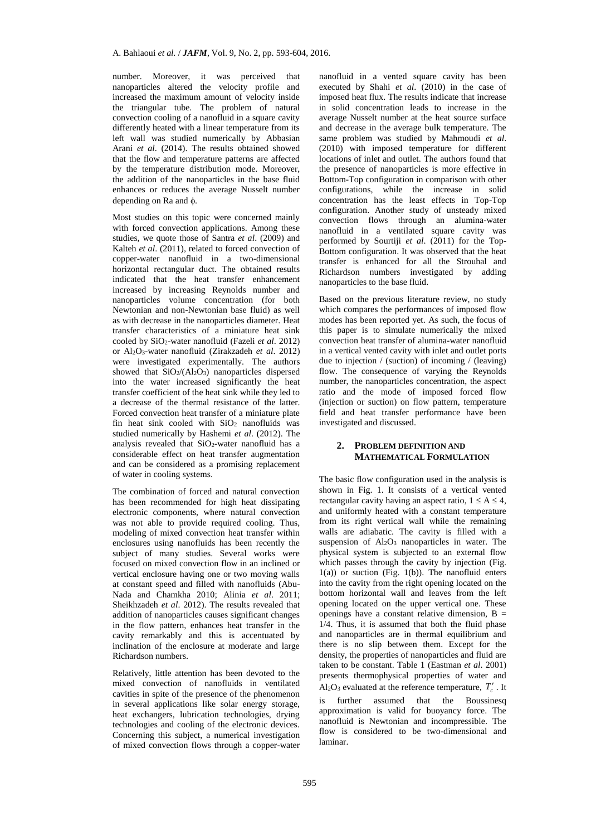number. Moreover, it was perceived that nanoparticles altered the velocity profile and increased the maximum amount of velocity inside the triangular tube. The problem of natural convection cooling of a nanofluid in a square cavity differently heated with a linear temperature from its left wall was studied numerically by Abbasian Arani *et al*. (2014). The results obtained showed that the flow and temperature patterns are affected by the temperature distribution mode. Moreover, the addition of the nanoparticles in the base fluid enhances or reduces the average Nusselt number depending on Ra and  $\phi$ .

Most studies on this topic were concerned mainly with forced convection applications. Among these studies, we quote those of Santra *et al*. (2009) and Kalteh *et al*. (2011), related to forced convection of copper-water nanofluid in a two-dimensional horizontal rectangular duct. The obtained results indicated that the heat transfer enhancement increased by increasing Reynolds number and nanoparticles volume concentration (for both Newtonian and non-Newtonian base fluid) as well as with decrease in the nanoparticles diameter. Heat transfer characteristics of a miniature heat sink cooled by SiO2-water nanofluid (Fazeli *et al*. 2012) or Al2O3-water nanofluid (Zirakzadeh *et al*. 2012) were investigated experimentally. The authors showed that SiO2/(Al2O3) nanoparticles dispersed into the water increased significantly the heat transfer coefficient of the heat sink while they led to a decrease of the thermal resistance of the latter. Forced convection heat transfer of a miniature plate fin heat sink cooled with SiO<sup>2</sup> nanofluids was studied numerically by Hashemi *et al*. (2012). The analysis revealed that  $SiO<sub>2</sub>$ -water nanofluid has a considerable effect on heat transfer augmentation and can be considered as a promising replacement of water in cooling systems.

The combination of forced and natural convection has been recommended for high heat dissipating electronic components, where natural convection was not able to provide required cooling. Thus, modeling of mixed convection heat transfer within enclosures using nanofluids has been recently the subject of many studies. Several works were focused on mixed convection flow in an inclined or vertical enclosure having one or two moving walls at constant speed and filled with nanofluids (Abu-Nada and Chamkha 2010; Alinia *et al*. 2011; Sheikhzadeh *et al*. 2012). The results revealed that addition of nanoparticles causes significant changes in the flow pattern, enhances heat transfer in the cavity remarkably and this is accentuated by inclination of the enclosure at moderate and large Richardson numbers.

Relatively, little attention has been devoted to the mixed convection of nanofluids in ventilated cavities in spite of the presence of the phenomenon in several applications like solar energy storage, heat exchangers, lubrication technologies, drying technologies and cooling of the electronic devices. Concerning this subject, a numerical investigation of mixed convection flows through a copper-water

nanofluid in a vented square cavity has been executed by Shahi *et al*. (2010) in the case of imposed heat flux. The results indicate that increase in solid concentration leads to increase in the average Nusselt number at the heat source surface and decrease in the average bulk temperature. The same problem was studied by Mahmoudi *et al*. (2010) with imposed temperature for different locations of inlet and outlet. The authors found that the presence of nanoparticles is more effective in Bottom-Top configuration in comparison with other configurations, while the increase in solid concentration has the least effects in Top-Top configuration. Another study of unsteady mixed convection flows through an alumina-water nanofluid in a ventilated square cavity was performed by Sourtiji *et al*. (2011) for the Top-Bottom configuration. It was observed that the heat transfer is enhanced for all the Strouhal and Richardson numbers investigated by adding nanoparticles to the base fluid.

Based on the previous literature review, no study which compares the performances of imposed flow modes has been reported yet. As such, the focus of this paper is to simulate numerically the mixed convection heat transfer of alumina-water nanofluid in a vertical vented cavity with inlet and outlet ports due to injection / (suction) of incoming / (leaving) flow. The consequence of varying the Reynolds number, the nanoparticles concentration, the aspect ratio and the mode of imposed forced flow (injection or suction) on flow pattern, temperature field and heat transfer performance have been investigated and discussed.

## **2. PROBLEM DEFINITION AND MATHEMATICAL FORMULATION**

The basic flow configuration used in the analysis is shown in Fig. 1. It consists of a vertical vented rectangular cavity having an aspect ratio,  $1 \le A \le 4$ , and uniformly heated with a constant temperature from its right vertical wall while the remaining walls are adiabatic. The cavity is filled with a suspension of  $Al_2O_3$  nanoparticles in water. The physical system is subjected to an external flow which passes through the cavity by injection (Fig. 1(a)) or suction (Fig. 1(b)). The nanofluid enters into the cavity from the right opening located on the bottom horizontal wall and leaves from the left opening located on the upper vertical one. These openings have a constant relative dimension,  $B =$ 1/4. Thus, it is assumed that both the fluid phase and nanoparticles are in thermal equilibrium and there is no slip between them. Except for the density, the properties of nanoparticles and fluid are taken to be constant. Table 1 (Eastman *et al*. 2001) presents thermophysical properties of water and Al<sub>2</sub>O<sub>3</sub> evaluated at the reference temperature,  $T_c^{\prime}$ . It

is further assumed that the Boussinesq approximation is valid for buoyancy force. The nanofluid is Newtonian and incompressible. The flow is considered to be two-dimensional and laminar.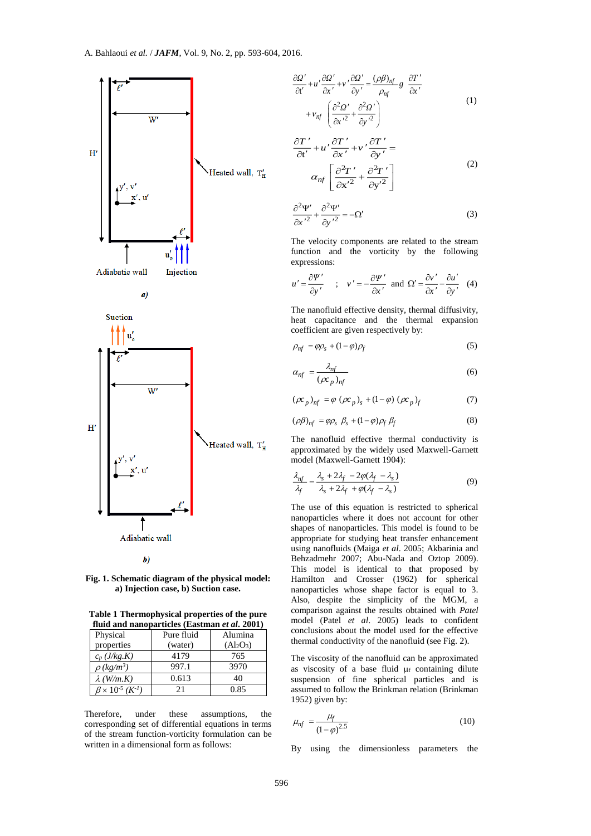



 $\boldsymbol{b}$ 

**Fig. 1. Schematic diagram of the physical model: a) Injection case, b) Suction case.**

**Table 1 Thermophysical properties of the pure fluid and nanoparticles (Eastman** *et al***. 2001)**

| Physical                    | Pure fluid | Alumina                           |  |  |
|-----------------------------|------------|-----------------------------------|--|--|
| properties                  | (water)    | (Al <sub>2</sub> O <sub>3</sub> ) |  |  |
| $c_p(J/kg.K)$               | 4179       | 765                               |  |  |
| $\rho$ (kg/m <sup>3</sup> ) | 997.1      | 3970                              |  |  |
| $\lambda$ (W/m.K)           | 0.613      | 40                                |  |  |
| $B \times 10^{-5} (K^{-1})$ | 21         | 0.85                              |  |  |

Therefore, under these assumptions, the corresponding set of differential equations in terms of the stream function-vorticity formulation can be written in a dimensional form as follows:

$$
\frac{\partial \Omega'}{\partial t'} + u' \frac{\partial \Omega'}{\partial x'} + v' \frac{\partial \Omega'}{\partial y'} = \frac{(\rho \beta)_{nf}}{\rho_{nf}} g \frac{\partial T'}{\partial x'}
$$
  
+ 
$$
v_{nf} \left( \frac{\partial^2 \Omega'}{\partial x'^2} + \frac{\partial^2 \Omega'}{\partial y'^2} \right)
$$
 (1)

$$
\frac{\partial T'}{\partial t'} + u' \frac{\partial T'}{\partial x'} + v' \frac{\partial T'}{\partial y'} =
$$
  

$$
\alpha_{nf} \left[ \frac{\partial^2 T'}{\partial x'^2} + \frac{\partial^2 T'}{\partial y'^2} \right]
$$
 (2)

$$
\frac{\partial^2 \Psi'}{\partial x'^2} + \frac{\partial^2 \Psi'}{\partial y'^2} = -\Omega'
$$
 (3)

The velocity components are related to the stream function and the vorticity by the following expressions:

$$
u' = \frac{\partial \Psi'}{\partial y'}, \quad ; \quad v' = -\frac{\partial \Psi'}{\partial x'} \text{ and } \Omega' = \frac{\partial v'}{\partial x'} - \frac{\partial u'}{\partial y'} \quad (4)
$$

The nanofluid effective density, thermal diffusivity, heat capacitance and the thermal expansion coefficient are given respectively by:

$$
\rho_{nf} = \varphi \rho_s + (1 - \varphi)\rho_f \tag{5}
$$

$$
\alpha_{nf} = \frac{\lambda_{nf}}{(\rho c_p)_{nf}}
$$
 (6)

$$
(\rho c_p)_{nf} = \varphi (\rho c_p)_s + (1 - \varphi) (\rho c_p)_f \tag{7}
$$

$$
(\rho \beta)_{nf} = \varphi \rho_s \ \beta_s + (1 - \varphi) \rho_f \ \beta_f \tag{8}
$$

The nanofluid effective thermal conductivity is approximated by the widely used Maxwell-Garnett model (Maxwell-Garnett 1904):

$$
\frac{\lambda_{nf}}{\lambda_f} = \frac{\lambda_s + 2\lambda_f - 2\varphi(\lambda_f - \lambda_s)}{\lambda_s + 2\lambda_f + \varphi(\lambda_f - \lambda_s)}
$$
(9)

The use of this equation is restricted to spherical nanoparticles where it does not account for other shapes of nanoparticles. This model is found to be appropriate for studying heat transfer enhancement using nanofluids (Maiga *et al*. 2005; Akbarinia and Behzadmehr 2007; Abu-Nada and Oztop 2009). This model is identical to that proposed by Hamilton and Crosser (1962) for spherical nanoparticles whose shape factor is equal to 3. Also, despite the simplicity of the MGM, a comparison against the results obtained with *Patel* model (Patel *et al*. 2005) leads to confident conclusions about the model used for the effective thermal conductivity of the nanofluid (see Fig. 2).

The viscosity of the nanofluid can be approximated as viscosity of a base fluid  $\mu$  containing dilute suspension of fine spherical particles and is assumed to follow the Brinkman relation (Brinkman 1952) given by:

$$
\mu_{nf} = \frac{\mu_f}{(1-\varphi)^{2.5}}
$$
 (10)

By using the dimensionless parameters the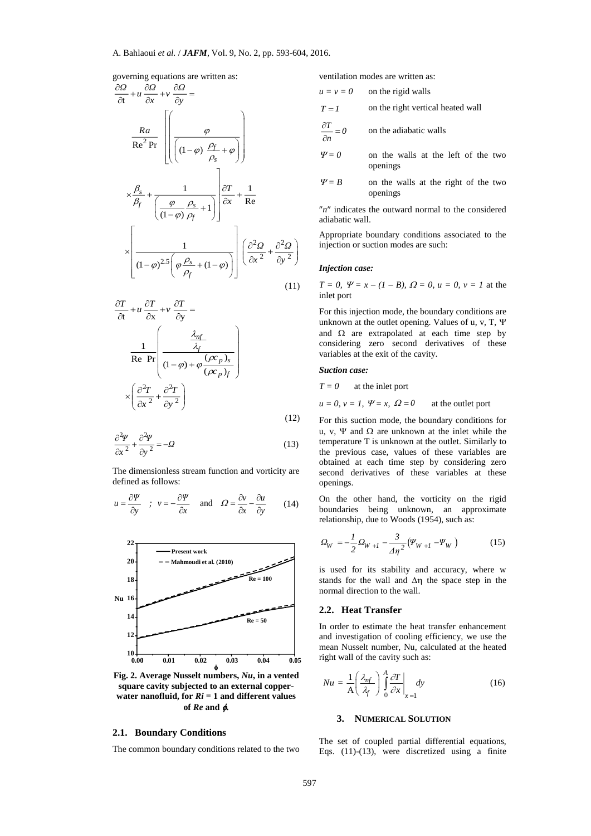governing equations are written as:

$$
\frac{\partial Q}{\partial t} + u \frac{\partial Q}{\partial x} + v \frac{\partial Q}{\partial y} =
$$
\n
$$
\frac{Ra}{Re^2 Pr} \left[ \left( \frac{\varphi}{(1-\varphi) \frac{\rho_f}{\rho_s} + \varphi} \right) \right]
$$
\n
$$
\times \frac{\beta_s}{\beta_f} + \left( \frac{\varphi}{(1-\varphi) \frac{\rho_s}{\rho_f} + 1} \right) \frac{\partial T}{\partial x} + \frac{1}{Re}
$$
\n
$$
\times \left[ \frac{1}{(1-\varphi)^{2.5} \left( \varphi \frac{\rho_s}{\rho_f} + (1-\varphi) \right)} \right] \left( \frac{\partial^2 Q}{\partial x^2} + \frac{\partial^2 Q}{\partial y^2} \right) \tag{11}
$$

$$
\frac{\partial T}{\partial t} + u \frac{\partial T}{\partial x} + v \frac{\partial T}{\partial y} =
$$
\n
$$
\frac{1}{\text{Re Pr}} \left( \frac{\frac{\lambda_{nf}}{\lambda_f}}{(1 - \varphi) + \varphi \frac{(\rho c_p)_s}{(\rho c_p)_f}} \right)
$$
\n
$$
\times \left( \frac{\partial^2 T}{\partial x^2} + \frac{\partial^2 T}{\partial y^2} \right)
$$
\n(12)

$$
\frac{\partial^2 \Psi}{\partial x^2} + \frac{\partial^2 \Psi}{\partial y^2} = -\Omega \tag{13}
$$

The dimensionless stream function and vorticity are defined as follows:

$$
u = \frac{\partial \Psi}{\partial y} \quad ; \quad v = -\frac{\partial \Psi}{\partial x} \quad \text{and} \quad \Omega = \frac{\partial v}{\partial x} - \frac{\partial u}{\partial y} \qquad (14)
$$



**Fig. 2. Average Nusselt numbers,** *Nu***, in a vented square cavity subjected to an external copper**water nanofluid, for  $Ri = 1$  and different values **of** *Re* **and .**

# **2.1. Boundary Conditions**

The common boundary conditions related to the two

ventilation modes are written as:

$$
u = v = 0
$$
 on the rigid walls

$$
T = 1
$$
 on the right vertical heated wall

$$
\frac{\partial T}{\partial n} = 0
$$
 on the adiabatic walls

- $\Psi = 0$  on the walls at the left of the two openings
- $\Psi = B$  on the walls at the right of the two openings

 $n<sup>n</sup>$  indicates the outward normal to the considered adiabatic wall.

Appropriate boundary conditions associated to the injection or suction modes are such:

# *Injection case:*

 $T = 0$ ,  $\Psi = x - (1 - B)$ ,  $\Omega = 0$ ,  $u = 0$ ,  $v = 1$  at the inlet port

For this injection mode, the boundary conditions are unknown at the outlet opening. Values of u, v, T, and  $\Omega$  are extrapolated at each time step by considering zero second derivatives of these variables at the exit of the cavity.

#### *Suction case:*

*T = 0* at the inlet port

 $u = 0, v = 1, \Psi = x, \Omega = 0$ at the outlet port

For this suction mode, the boundary conditions for u, v,  $\Psi$  and  $\Omega$  are unknown at the inlet while the temperature T is unknown at the outlet. Similarly to the previous case, values of these variables are obtained at each time step by considering zero second derivatives of these variables at these openings.

On the other hand, the vorticity on the rigid boundaries being unknown, an approximate relationship, due to Woods (1954), such as:

$$
\mathcal{Q}_{W} = -\frac{1}{2}\mathcal{Q}_{W+I} - \frac{3}{4\eta^{2}}(\varPsi_{W+I} - \varPsi_{W})
$$
\n(15)

is used for its stability and accuracy, where w stands for the wall and  $\Delta \eta$  the space step in the normal direction to the wall.

## **2.2. Heat Transfer**

In order to estimate the heat transfer enhancement and investigation of cooling efficiency, we use the mean Nusselt number, Nu, calculated at the heated right wall of the cavity such as:

$$
Nu = \frac{1}{A} \left(\frac{\lambda_{nf}}{\lambda_f}\right) \int_0^A \frac{\partial T}{\partial x} \bigg|_{x=1} dy
$$
 (16)

#### **3. NUMERICAL SOLUTION**

The set of coupled partial differential equations, Eqs. (11)-(13), were discretized using a finite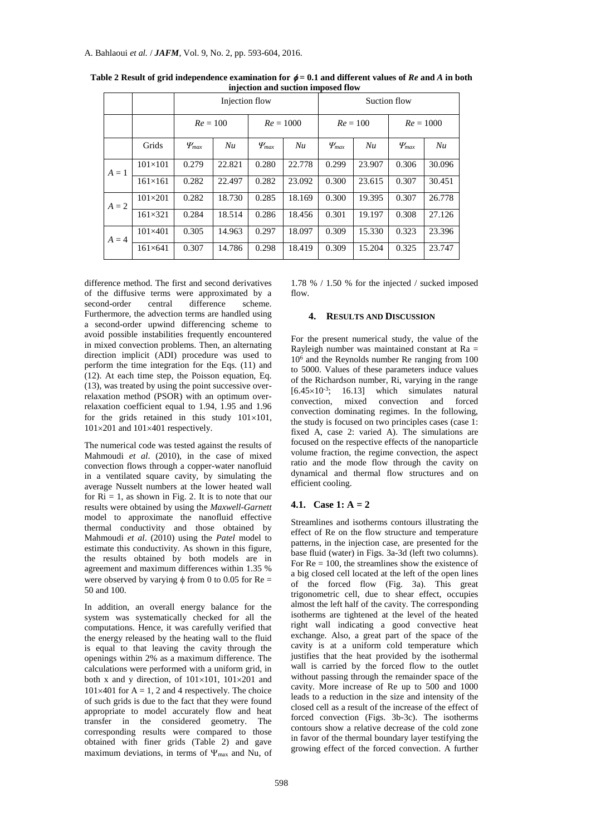|         |                  | Injection flow |        |              | Suction flow |              |        |              |        |
|---------|------------------|----------------|--------|--------------|--------------|--------------|--------|--------------|--------|
|         |                  | $Re = 100$     |        | $Re = 1000$  |              | $Re = 100$   |        | $Re = 1000$  |        |
|         | Grids            | $\Psi_{max}$   | Nu     | $\Psi_{max}$ | Nu           | $\Psi_{max}$ | Nu     | $\Psi_{max}$ | Nu     |
| $A=1$   | $101 \times 101$ | 0.279          | 22.821 | 0.280        | 22.778       | 0.299        | 23.907 | 0.306        | 30.096 |
|         | $161\times 161$  | 0.282          | 22.497 | 0.282        | 23.092       | 0.300        | 23.615 | 0.307        | 30.451 |
| $A = 2$ | $101 \times 201$ | 0.282          | 18.730 | 0.285        | 18.169       | 0.300        | 19.395 | 0.307        | 26.778 |
|         | $161 \times 321$ | 0.284          | 18.514 | 0.286        | 18.456       | 0.301        | 19.197 | 0.308        | 27.126 |
| $A = 4$ | $101\times 401$  | 0.305          | 14.963 | 0.297        | 18.097       | 0.309        | 15.330 | 0.323        | 23.396 |
|         | $161 \times 641$ | 0.307          | 14.786 | 0.298        | 18.419       | 0.309        | 15.204 | 0.325        | 23.747 |

**Table 2 Result of grid independence examination for**  $\phi = 0.1$  **and different values of** *Re* **and** *A* **in both injection and suction imposed flow**

difference method. The first and second derivatives of the diffusive terms were approximated by a<br>second-order central difference scheme. second-order central difference scheme. Furthermore, the advection terms are handled using a second-order upwind differencing scheme to avoid possible instabilities frequently encountered in mixed convection problems. Then, an alternating direction implicit (ADI) procedure was used to perform the time integration for the Eqs. (11) and (12). At each time step, the Poisson equation, Eq. (13), was treated by using the point successive overrelaxation method (PSOR) with an optimum overrelaxation coefficient equal to 1.94, 1.95 and 1.96 for the grids retained in this study  $101 \times 101$ ,  $101\times201$  and  $101\times401$  respectively.

The numerical code was tested against the results of Mahmoudi *et al*. (2010), in the case of mixed convection flows through a copper-water nanofluid in a ventilated square cavity, by simulating the average Nusselt numbers at the lower heated wall for  $\text{Ri} = 1$ , as shown in Fig. 2. It is to note that our results were obtained by using the *Maxwell-Garnett* model to approximate the nanofluid effective thermal conductivity and those obtained by Mahmoudi *et al*. (2010) using the *Patel* model to estimate this conductivity. As shown in this figure, the results obtained by both models are in agreement and maximum differences within 1.35 % were observed by varying  $\phi$  from 0 to 0.05 for Re = 50 and 100.

In addition, an overall energy balance for the system was systematically checked for all the computations. Hence, it was carefully verified that the energy released by the heating wall to the fluid is equal to that leaving the cavity through the openings within 2% as a maximum difference. The calculations were performed with a uniform grid, in both x and y direction, of  $101 \times 101$ ,  $101 \times 201$  and  $101\times401$  for A = 1, 2 and 4 respectively. The choice of such grids is due to the fact that they were found appropriate to model accurately flow and heat transfer in the considered geometry. The corresponding results were compared to those obtained with finer grids (Table 2) and gave maximum deviations, in terms of  $\Psi_{\text{max}}$  and Nu, of

1.78 % / 1.50 % for the injected / sucked imposed flow.

## **4. RESULTS AND DISCUSSION**

For the present numerical study, the value of the Rayleigh number was maintained constant at  $Ra =$ 10<sup>6</sup> and the Reynolds number Re ranging from 100 to 5000. Values of these parameters induce values of the Richardson number, Ri, varying in the range  $[6.45 \times 10^{-3};$  16.13] which simulates natural convection, mixed convection and forced convection dominating regimes. In the following, the study is focused on two principles cases (case 1: fixed A, case 2: varied A). The simulations are focused on the respective effects of the nanoparticle volume fraction, the regime convection, the aspect ratio and the mode flow through the cavity on dynamical and thermal flow structures and on efficient cooling.

# **4.1. Case 1: A = 2**

Streamlines and isotherms contours illustrating the effect of Re on the flow structure and temperature patterns, in the injection case, are presented for the base fluid (water) in Figs. 3a-3d (left two columns). For  $Re = 100$ , the streamlines show the existence of a big closed cell located at the left of the open lines of the forced flow (Fig. 3a). This great trigonometric cell, due to shear effect, occupies almost the left half of the cavity. The corresponding isotherms are tightened at the level of the heated right wall indicating a good convective heat exchange. Also, a great part of the space of the cavity is at a uniform cold temperature which justifies that the heat provided by the isothermal wall is carried by the forced flow to the outlet without passing through the remainder space of the cavity. More increase of Re up to 500 and 1000 leads to a reduction in the size and intensity of the closed cell as a result of the increase of the effect of forced convection (Figs. 3b-3c). The isotherms contours show a relative decrease of the cold zone in favor of the thermal boundary layer testifying the growing effect of the forced convection. A further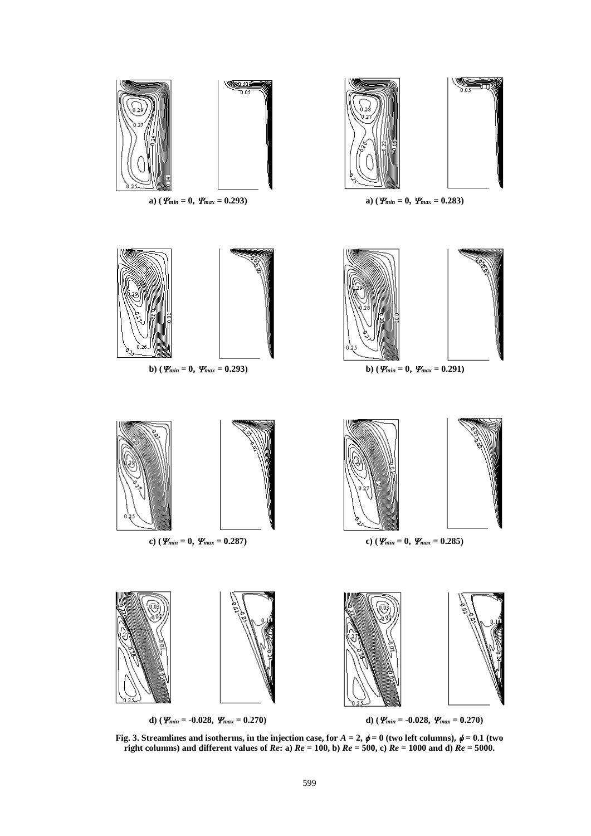

**Fig. 3. Streamlines and isotherms, in the injection case, for**  $A = 2$ **,**  $\phi = 0$  **(two left columns),**  $\phi = 0.1$  **(two right columns) and different values of** *Re***: a)** *Re* **= 100, b)** *Re* **= 500, c)** *Re* **= 1000 and d)** *Re* **= 5000.**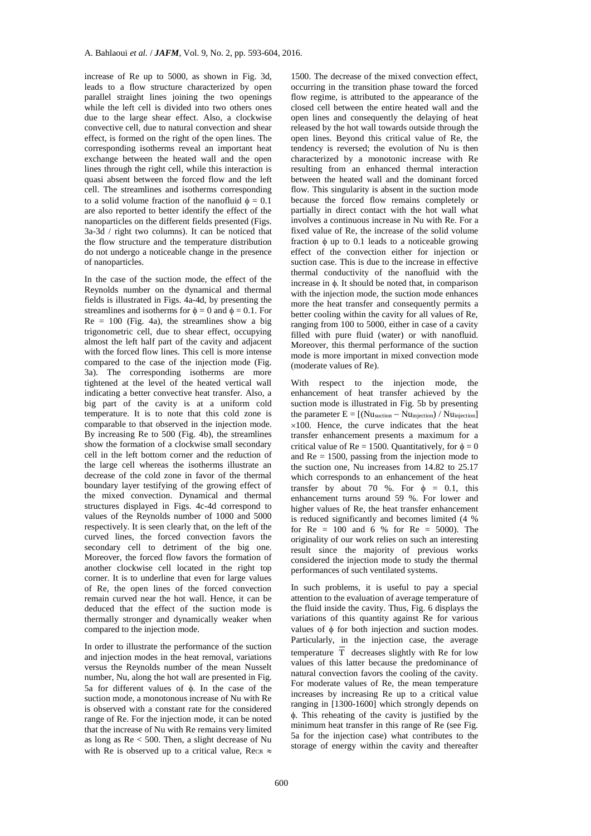increase of Re up to 5000, as shown in Fig. 3d, leads to a flow structure characterized by open parallel straight lines joining the two openings while the left cell is divided into two others ones due to the large shear effect. Also, a clockwise convective cell, due to natural convection and shear effect, is formed on the right of the open lines. The corresponding isotherms reveal an important heat exchange between the heated wall and the open lines through the right cell, while this interaction is quasi absent between the forced flow and the left cell. The streamlines and isotherms corresponding to a solid volume fraction of the nanofluid  $\phi = 0.1$ are also reported to better identify the effect of the nanoparticles on the different fields presented (Figs. 3a-3d / right two columns). It can be noticed that the flow structure and the temperature distribution do not undergo a noticeable change in the presence of nanoparticles.

In the case of the suction mode, the effect of the Reynolds number on the dynamical and thermal fields is illustrated in Figs. 4a-4d, by presenting the streamlines and isotherms for  $\phi = 0$  and  $\phi = 0.1$ . For  $Re = 100$  (Fig. 4a), the streamlines show a big trigonometric cell, due to shear effect, occupying almost the left half part of the cavity and adjacent with the forced flow lines. This cell is more intense compared to the case of the injection mode (Fig. 3a). The corresponding isotherms are more tightened at the level of the heated vertical wall indicating a better convective heat transfer. Also, a big part of the cavity is at a uniform cold temperature. It is to note that this cold zone is comparable to that observed in the injection mode. By increasing Re to 500 (Fig. 4b), the streamlines show the formation of a clockwise small secondary cell in the left bottom corner and the reduction of the large cell whereas the isotherms illustrate an decrease of the cold zone in favor of the thermal boundary layer testifying of the growing effect of the mixed convection. Dynamical and thermal structures displayed in Figs. 4c-4d correspond to values of the Reynolds number of 1000 and 5000 respectively. It is seen clearly that, on the left of the curved lines, the forced convection favors the secondary cell to detriment of the big one. Moreover, the forced flow favors the formation of another clockwise cell located in the right top corner. It is to underline that even for large values of Re, the open lines of the forced convection remain curved near the hot wall. Hence, it can be deduced that the effect of the suction mode is thermally stronger and dynamically weaker when compared to the injection mode.

In order to illustrate the performance of the suction and injection modes in the heat removal, variations versus the Reynolds number of the mean Nusselt number, Nu, along the hot wall are presented in Fig. 5a for different values of  $\phi$ . In the case of the suction mode, a monotonous increase of Nu with Re is observed with a constant rate for the considered range of Re. For the injection mode, it can be noted that the increase of Nu with Re remains very limited as long as Re < 500. Then, a slight decrease of Nu with Re is observed up to a critical value, Re<sub>CR</sub>  $\approx$ 

1500. The decrease of the mixed convection effect, occurring in the transition phase toward the forced flow regime, is attributed to the appearance of the closed cell between the entire heated wall and the open lines and consequently the delaying of heat released by the hot wall towards outside through the open lines. Beyond this critical value of Re, the tendency is reversed; the evolution of Nu is then characterized by a monotonic increase with Re resulting from an enhanced thermal interaction between the heated wall and the dominant forced flow. This singularity is absent in the suction mode because the forced flow remains completely or partially in direct contact with the hot wall what involves a continuous increase in Nu with Re. For a fixed value of Re, the increase of the solid volume fraction  $\phi$  up to 0.1 leads to a noticeable growing effect of the convection either for injection or suction case. This is due to the increase in effective thermal conductivity of the nanofluid with the increase in  $\phi$ . It should be noted that, in comparison with the injection mode, the suction mode enhances more the heat transfer and consequently permits a better cooling within the cavity for all values of Re, ranging from 100 to 5000, either in case of a cavity filled with pure fluid (water) or with nanofluid. Moreover, this thermal performance of the suction mode is more important in mixed convection mode (moderate values of Re).

With respect to the injection mode, the enhancement of heat transfer achieved by the suction mode is illustrated in Fig. 5b by presenting the parameter  $E = [(Nu_{\text{suction}} - Nu_{\text{injection}}) / Nu_{\text{injection}}]$  $\times100$ . Hence, the curve indicates that the heat transfer enhancement presents a maximum for a critical value of  $Re = 1500$ . Quantitatively, for  $\phi = 0$ and  $Re = 1500$ , passing from the injection mode to the suction one, Nu increases from 14.82 to 25.17 which corresponds to an enhancement of the heat transfer by about 70 %. For  $\phi = 0.1$ , this enhancement turns around 59 %. For lower and higher values of Re, the heat transfer enhancement is reduced significantly and becomes limited (4 % for  $Re = 100$  and 6 % for  $Re = 5000$ . The originality of our work relies on such an interesting result since the majority of previous works considered the injection mode to study the thermal performances of such ventilated systems.

In such problems, it is useful to pay a special attention to the evaluation of average temperature of the fluid inside the cavity. Thus, Fig. 6 displays the variations of this quantity against Re for various values of  $\phi$  for both injection and suction modes. Particularly, in the injection case, the average temperature T decreases slightly with Re for low values of this latter because the predominance of natural convection favors the cooling of the cavity. For moderate values of Re, the mean temperature increases by increasing Re up to a critical value ranging in [1300-1600] which strongly depends on . This reheating of the cavity is justified by the minimum heat transfer in this range of Re (see Fig. 5a for the injection case) what contributes to the storage of energy within the cavity and thereafter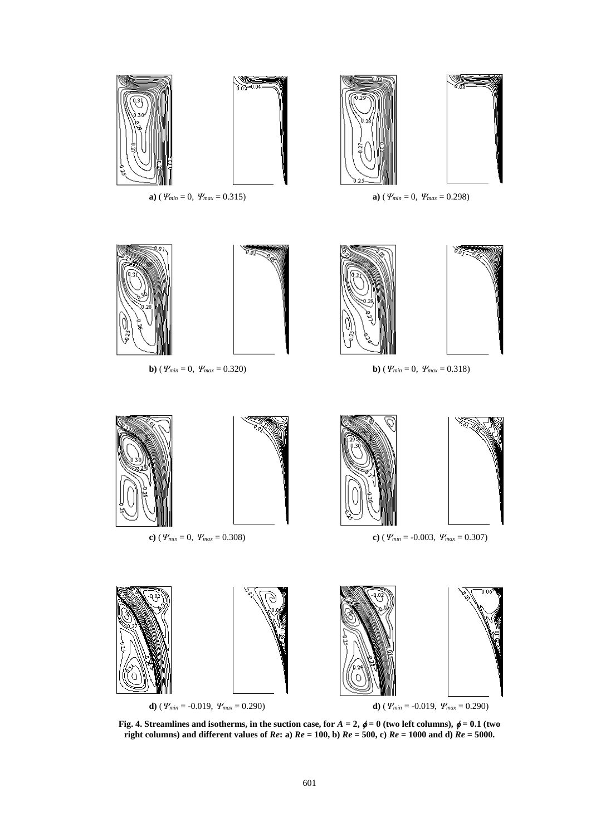

**Fig. 4.** Streamlines and isotherms, in the suction case, for  $A = 2$ ,  $\phi = 0$  (two left columns),  $\phi = 0.1$  (two **right columns) and different values of** *Re***: a)** *Re* **= 100, b)** *Re* **= 500, c)** *Re* **= 1000 and d)** *Re* **= 5000.**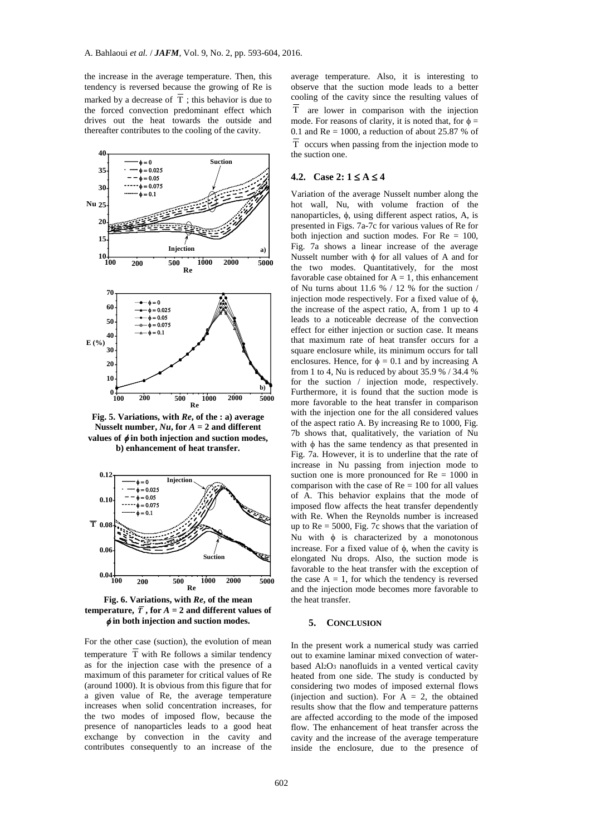the increase in the average temperature. Then, this tendency is reversed because the growing of Re is marked by a decrease of T ; this behavior is due to the forced convection predominant effect which drives out the heat towards the outside and thereafter contributes to the cooling of the cavity.



**Fig. 5. Variations, with** *Re***, of the : a) average**  Nusselt number,  $Nu$ , for  $A = 2$  and different values of  $\phi$  in both injection and suction modes, **b) enhancement of heat transfer.**



**Fig. 6. Variations, with** *Re***, of the mean temperature,**  $\overline{T}$ **, for**  $A = 2$  **and different values of in both injection and suction modes.**

For the other case (suction), the evolution of mean temperature T with Re follows a similar tendency as for the injection case with the presence of a maximum of this parameter for critical values of Re (around 1000). It is obvious from this figure that for a given value of Re, the average temperature increases when solid concentration increases, for the two modes of imposed flow, because the presence of nanoparticles leads to a good heat exchange by convection in the cavity and contributes consequently to an increase of the

average temperature. Also, it is interesting to observe that the suction mode leads to a better cooling of the cavity since the resulting values of T are lower in comparison with the injection mode. For reasons of clarity, it is noted that, for  $\phi =$ 0.1 and  $Re = 1000$ , a reduction of about 25.87 % of <sup>T</sup> occurs when passing from the injection mode to the suction one.

#### **4.2.** Case 2:  $1 \le A \le 4$

Variation of the average Nusselt number along the hot wall, Nu, with volume fraction of the nanoparticles,  $\phi$ , using different aspect ratios, A, is presented in Figs. 7a-7c for various values of Re for both injection and suction modes. For  $Re = 100$ , Fig. 7a shows a linear increase of the average Nusselt number with  $\phi$  for all values of A and for the two modes. Quantitatively, for the most favorable case obtained for  $A = 1$ , this enhancement of Nu turns about 11.6 % / 12 % for the suction / injection mode respectively. For a fixed value of  $\phi$ , the increase of the aspect ratio, A, from 1 up to 4 leads to a noticeable decrease of the convection effect for either injection or suction case. It means that maximum rate of heat transfer occurs for a square enclosure while, its minimum occurs for tall enclosures. Hence, for  $\phi = 0.1$  and by increasing A from 1 to 4, Nu is reduced by about 35.9 % / 34.4 % for the suction / injection mode, respectively. Furthermore, it is found that the suction mode is more favorable to the heat transfer in comparison with the injection one for the all considered values of the aspect ratio A. By increasing Re to 1000, Fig. 7b shows that, qualitatively, the variation of Nu with  $\phi$  has the same tendency as that presented in Fig. 7a. However, it is to underline that the rate of increase in Nu passing from injection mode to suction one is more pronounced for  $Re = 1000$  in comparison with the case of  $Re = 100$  for all values of A. This behavior explains that the mode of imposed flow affects the heat transfer dependently with Re. When the Reynolds number is increased up to  $Re = 5000$ , Fig. 7c shows that the variation of Nu with  $\phi$  is characterized by a monotonous increase. For a fixed value of  $\phi$ , when the cavity is elongated Nu drops. Also, the suction mode is favorable to the heat transfer with the exception of the case  $A = 1$ , for which the tendency is reversed and the injection mode becomes more favorable to the heat transfer.

#### **5. CONCLUSION**

In the present work a numerical study was carried out to examine laminar mixed convection of waterbased Al2O<sup>3</sup> nanofluids in a vented vertical cavity heated from one side. The study is conducted by considering two modes of imposed external flows (injection and suction). For  $A = 2$ , the obtained results show that the flow and temperature patterns are affected according to the mode of the imposed flow. The enhancement of heat transfer across the cavity and the increase of the average temperature inside the enclosure, due to the presence of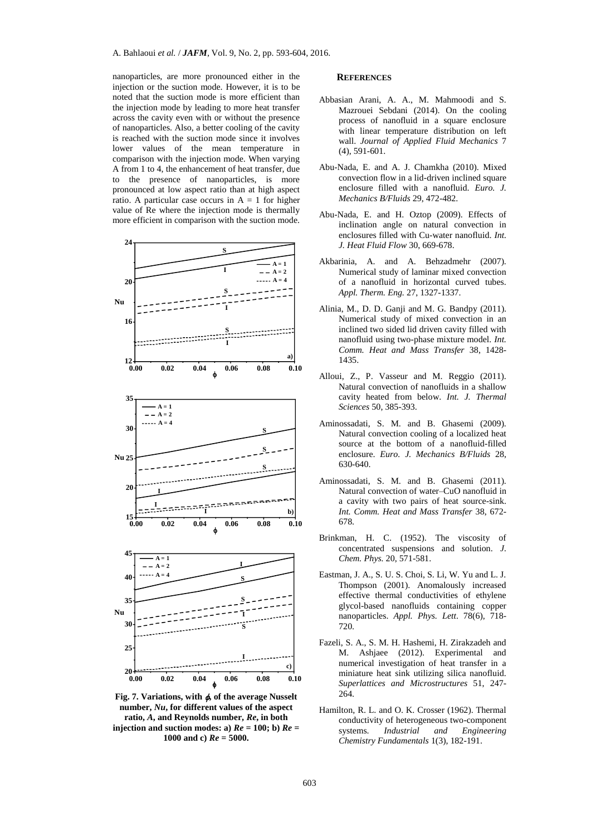nanoparticles, are more pronounced either in the injection or the suction mode. However, it is to be noted that the suction mode is more efficient than the injection mode by leading to more heat transfer across the cavity even with or without the presence of nanoparticles. Also, a better cooling of the cavity is reached with the suction mode since it involves lower values of the mean temperature in comparison with the injection mode. When varying A from 1 to 4, the enhancement of heat transfer, due to the presence of nanoparticles, is more pronounced at low aspect ratio than at high aspect ratio. A particular case occurs in  $A = 1$  for higher value of Re where the injection mode is thermally more efficient in comparison with the suction mode.



Fig. 7. Variations, with  $\phi$ , of the average Nusselt **number,** *Nu***, for different values of the aspect ratio,** *A***, and Reynolds number,** *Re***, in both injection and suction modes: a)**  $Re = 100$ **; b)**  $Re =$ **1000 and c)** *Re* **= 5000.**

## **REFERENCES**

- Abbasian Arani, A. A., M. Mahmoodi and S. Mazrouei Sebdani (2014). On the cooling process of nanofluid in a square enclosure with linear temperature distribution on left wall. *Journal of Applied Fluid Mechanics* 7 (4), 591-601.
- Abu-Nada, E. and A. J. Chamkha (2010). Mixed convection flow in a lid-driven inclined square enclosure filled with a nanofluid. *Euro. J. Mechanics B/Fluids* 29, 472-482.
- Abu-Nada, E. and H. Oztop (2009). Effects of inclination angle on natural convection in enclosures filled with Cu-water nanofluid. *Int. J. Heat Fluid Flow* 30, 669-678.
- Akbarinia, A. and A. Behzadmehr (2007). Numerical study of laminar mixed convection of a nanofluid in horizontal curved tubes. *Appl. Therm. Eng.* 27, 1327-1337.
- Alinia, M., D. D. Ganji and M. G. Bandpy (2011). Numerical study of mixed convection in an inclined two sided lid driven cavity filled with nanofluid using two-phase mixture model. *Int. Comm. Heat and Mass Transfer* 38, 1428- 1435.
- Alloui, Z., P. Vasseur and M. Reggio (2011). Natural convection of nanofluids in a shallow cavity heated from below. *Int. J. Thermal Sciences* 50, 385-393.
- Aminossadati, S. M. and B. Ghasemi (2009). Natural convection cooling of a localized heat source at the bottom of a nanofluid-filled enclosure. *Euro. J. Mechanics B/Fluids* 28, 630-640.
- Aminossadati, S. M. and B. Ghasemi (2011). Natural convection of water–CuO nanofluid in a cavity with two pairs of heat source-sink. *Int. Comm. Heat and Mass Transfer* 38, 672- 678.
- Brinkman, H. C. (1952). The viscosity of concentrated suspensions and solution. *J. Chem. Phys.* 20, 571-581.
- Eastman, J. A., S. U. S. Choi, S. Li, W. Yu and L. J. Thompson (2001). Anomalously increased effective thermal conductivities of ethylene glycol-based nanofluids containing copper nanoparticles. *Appl. Phys. Lett*. 78(6), 718- 720.
- Fazeli, S. A., S. M. H. Hashemi, H. Zirakzadeh and M. Ashjaee (2012). Experimental and numerical investigation of heat transfer in a miniature heat sink utilizing silica nanofluid. *Superlattices and Microstructures* 51, 247- 264.
- Hamilton, R. L. and O. K. Crosser (1962). Thermal conductivity of heterogeneous two-component systems. *Industrial and Engineering Chemistry Fundamentals* 1(3), 182-191.